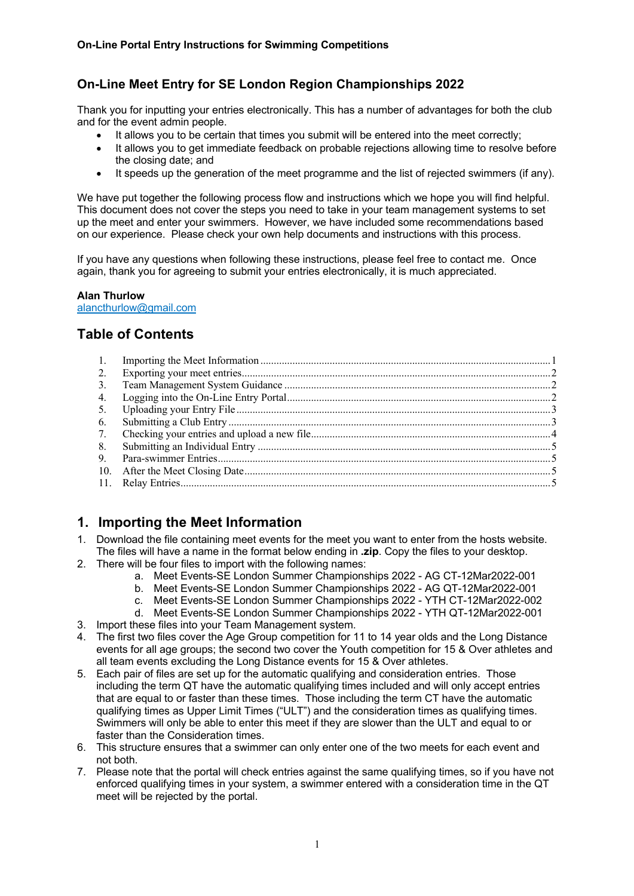## **On-Line Meet Entry for SE London Region Championships 2022**

Thank you for inputting your entries electronically. This has a number of advantages for both the club and for the event admin people.

- It allows you to be certain that times you submit will be entered into the meet correctly;
- It allows you to get immediate feedback on probable rejections allowing time to resolve before the closing date; and
- It speeds up the generation of the meet programme and the list of rejected swimmers (if any).

We have put together the following process flow and instructions which we hope you will find helpful. This document does not cover the steps you need to take in your team management systems to set up the meet and enter your swimmers. However, we have included some recommendations based on our experience. Please check your own help documents and instructions with this process.

If you have any questions when following these instructions, please feel free to contact me. Once again, thank you for agreeing to submit your entries electronically, it is much appreciated.

### **Alan Thurlow**

alancthurlow@gmail.com

# **Table of Contents**

| 2. |  |
|----|--|
| 3. |  |
| 4. |  |
| 5. |  |
| 6. |  |
|    |  |
| 8. |  |
| 9. |  |
|    |  |
|    |  |
|    |  |

# **1. Importing the Meet Information**

- 1. Download the file containing meet events for the meet you want to enter from the hosts website. The files will have a name in the format below ending in **.zip**. Copy the files to your desktop.
- 2. There will be four files to import with the following names:
	- a. Meet Events-SE London Summer Championships 2022 AG CT-12Mar2022-001
	- b. Meet Events-SE London Summer Championships 2022 AG QT-12Mar2022-001
	- c. Meet Events-SE London Summer Championships 2022 YTH CT-12Mar2022-002
	- d. Meet Events-SE London Summer Championships 2022 YTH QT-12Mar2022-001
- 3. Import these files into your Team Management system.
- 4. The first two files cover the Age Group competition for 11 to 14 year olds and the Long Distance events for all age groups; the second two cover the Youth competition for 15 & Over athletes and all team events excluding the Long Distance events for 15 & Over athletes.
- 5. Each pair of files are set up for the automatic qualifying and consideration entries. Those including the term QT have the automatic qualifying times included and will only accept entries that are equal to or faster than these times. Those including the term CT have the automatic qualifying times as Upper Limit Times ("ULT") and the consideration times as qualifying times. Swimmers will only be able to enter this meet if they are slower than the ULT and equal to or faster than the Consideration times.
- 6. This structure ensures that a swimmer can only enter one of the two meets for each event and not both.
- 7. Please note that the portal will check entries against the same qualifying times, so if you have not enforced qualifying times in your system, a swimmer entered with a consideration time in the QT meet will be rejected by the portal.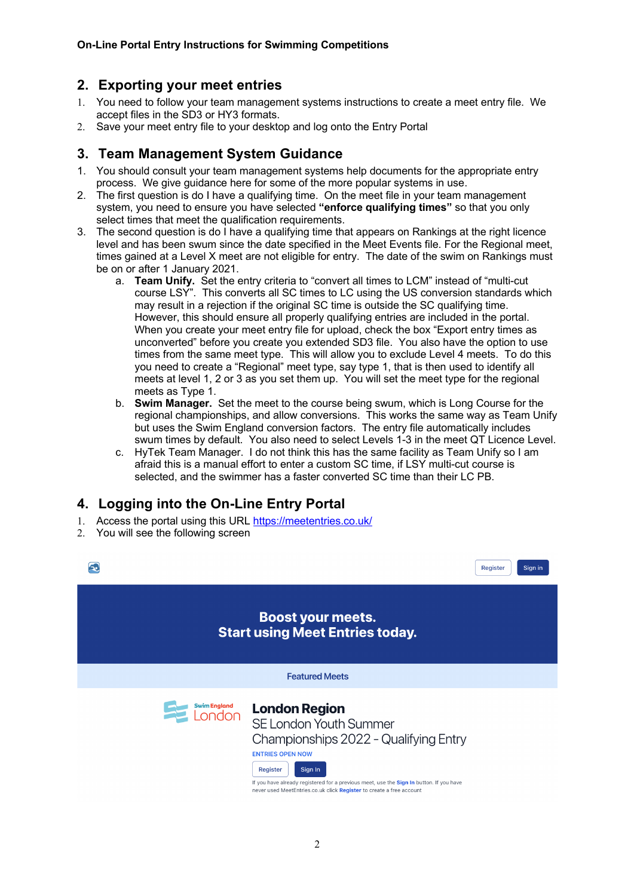### **2. Exporting your meet entries**

- 1. You need to follow your team management systems instructions to create a meet entry file. We accept files in the SD3 or HY3 formats.
- 2. Save your meet entry file to your desktop and log onto the Entry Portal

### **3. Team Management System Guidance**

- 1. You should consult your team management systems help documents for the appropriate entry process. We give guidance here for some of the more popular systems in use.
- 2. The first question is do I have a qualifying time. On the meet file in your team management system, you need to ensure you have selected **"enforce qualifying times"** so that you only select times that meet the qualification requirements.
- 3. The second question is do I have a qualifying time that appears on Rankings at the right licence level and has been swum since the date specified in the Meet Events file. For the Regional meet, times gained at a Level X meet are not eligible for entry. The date of the swim on Rankings must be on or after 1 January 2021.
	- a. **Team Unify.** Set the entry criteria to "convert all times to LCM" instead of "multi-cut course LSY". This converts all SC times to LC using the US conversion standards which may result in a rejection if the original SC time is outside the SC qualifying time. However, this should ensure all properly qualifying entries are included in the portal. When you create your meet entry file for upload, check the box "Export entry times as unconverted" before you create you extended SD3 file. You also have the option to use times from the same meet type. This will allow you to exclude Level 4 meets. To do this you need to create a "Regional" meet type, say type 1, that is then used to identify all meets at level 1, 2 or 3 as you set them up. You will set the meet type for the regional meets as Type 1.
	- b. **Swim Manager.** Set the meet to the course being swum, which is Long Course for the regional championships, and allow conversions. This works the same way as Team Unify but uses the Swim England conversion factors. The entry file automatically includes swum times by default. You also need to select Levels 1-3 in the meet QT Licence Level.
	- c. HyTek Team Manager. I do not think this has the same facility as Team Unify so I am afraid this is a manual effort to enter a custom SC time, if LSY multi-cut course is selected, and the swimmer has a faster converted SC time than their LC PB.

# **4. Logging into the On-Line Entry Portal**

- 1. Access the portal using this URL https://meetentries.co.uk/
- 2. You will see the following screen

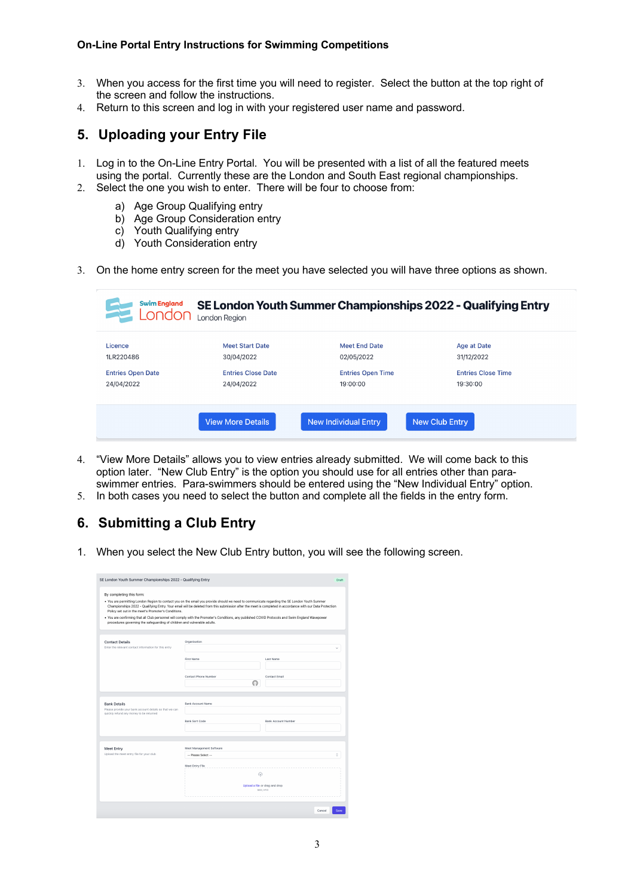#### **On-Line Portal Entry Instructions for Swimming Competitions**

- 3. When you access for the first time you will need to register. Select the button at the top right of the screen and follow the instructions.
- 4. Return to this screen and log in with your registered user name and password.

### **5. Uploading your Entry File**

- 1. Log in to the On-Line Entry Portal. You will be presented with a list of all the featured meets using the portal. Currently these are the London and South East regional championships.
- 2. Select the one you wish to enter. There will be four to choose from:
	- a) Age Group Qualifying entry
	- b) Age Group Consideration entry
	- c) Youth Qualifying entry
	- d) Youth Consideration entry
- 3. On the home entry screen for the meet you have selected you will have three options as shown.

| <b>Swim England</b><br>London | London Reaion             |                             | SE London Youth Summer Championships 2022 - Qualifying Entry |
|-------------------------------|---------------------------|-----------------------------|--------------------------------------------------------------|
| Licence                       | <b>Meet Start Date</b>    | <b>Meet End Date</b>        | Age at Date                                                  |
| 1LR220486                     | 30/04/2022                | 02/05/2022                  | 31/12/2022                                                   |
| <b>Entries Open Date</b>      | <b>Entries Close Date</b> | <b>Entries Open Time</b>    | <b>Entries Close Time</b>                                    |
| 24/04/2022                    | 24/04/2022                | 19:00:00                    | 19:30:00                                                     |
|                               | <b>View More Details</b>  | <b>New Individual Entry</b> | <b>New Club Entry</b>                                        |

- 4. "View More Details" allows you to view entries already submitted. We will come back to this option later. "New Club Entry" is the option you should use for all entries other than paraswimmer entries. Para-swimmers should be entered using the "New Individual Entry" option.
- 5. In both cases you need to select the button and complete all the fields in the entry form.

## **6. Submitting a Club Entry**

1. When you select the New Club Entry button, you will see the following screen.

| SE London Youth Summer Championships 2022 - Qualifying Entry                    |                                                                                                                                                                                                                                                                                                                                                                                                                                                                 | Draft                          |
|---------------------------------------------------------------------------------|-----------------------------------------------------------------------------------------------------------------------------------------------------------------------------------------------------------------------------------------------------------------------------------------------------------------------------------------------------------------------------------------------------------------------------------------------------------------|--------------------------------|
| By completing this form:<br>Policy set out in the meet's Promoter's Conditions. | . You are permitting London Region to contact you on the email you provide should we need to communicate regarding the SE London Youth Summer<br>Championships 2022 - Qualifying Entry, Your email will be deleted from this submission after the meet is completed in accordance with our Data Protection<br>. You are confirming that all Club personnel will comply with the Promoter's Conditions, any published COVID Protocols and Swim England Wavepower |                                |
| procedures governing the safeguarding of children and vulnerable adults.        |                                                                                                                                                                                                                                                                                                                                                                                                                                                                 |                                |
| <b>Contact Details</b><br>Enter the relevant contact information for this entry | Organisation                                                                                                                                                                                                                                                                                                                                                                                                                                                    | Ü                              |
|                                                                                 | First Name                                                                                                                                                                                                                                                                                                                                                                                                                                                      | <b>Last Name</b>               |
|                                                                                 | Contact Phone Number<br>Θ                                                                                                                                                                                                                                                                                                                                                                                                                                       | <b>Contact Email</b>           |
| <b>Bank Details</b><br>Please provide your bank account details so that we can  | <b>Bank Account Name</b>                                                                                                                                                                                                                                                                                                                                                                                                                                        |                                |
| quickly refund any money to be returned                                         | <b>Bank Sort Code</b>                                                                                                                                                                                                                                                                                                                                                                                                                                           | <b>Bank Account Number</b>     |
|                                                                                 |                                                                                                                                                                                                                                                                                                                                                                                                                                                                 |                                |
| Meet Entry<br>Upload the meet entry file for your club                          | Meet Management Software<br>-- Please Select --                                                                                                                                                                                                                                                                                                                                                                                                                 | ó                              |
|                                                                                 | Meet Entry File                                                                                                                                                                                                                                                                                                                                                                                                                                                 |                                |
|                                                                                 | क़                                                                                                                                                                                                                                                                                                                                                                                                                                                              | Upload a file or drag and drop |
|                                                                                 |                                                                                                                                                                                                                                                                                                                                                                                                                                                                 | SD3, HY3                       |
|                                                                                 |                                                                                                                                                                                                                                                                                                                                                                                                                                                                 | Save<br>Cancel                 |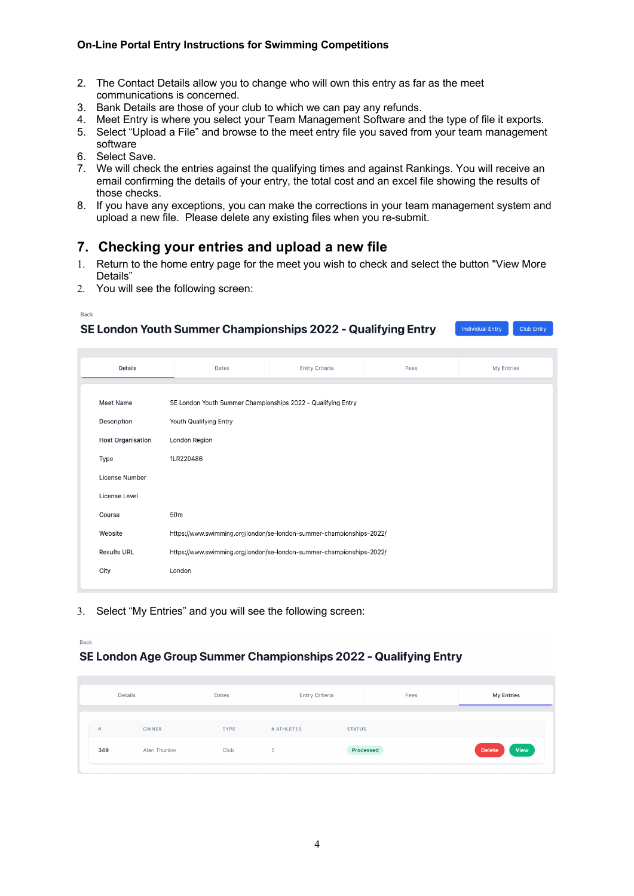#### **On-Line Portal Entry Instructions for Swimming Competitions**

- 2. The Contact Details allow you to change who will own this entry as far as the meet communications is concerned.
- 3. Bank Details are those of your club to which we can pay any refunds.
- 4. Meet Entry is where you select your Team Management Software and the type of file it exports.
- 5. Select "Upload a File" and browse to the meet entry file you saved from your team management software
- 6. Select Save.
- 7. We will check the entries against the qualifying times and against Rankings. You will receive an email confirming the details of your entry, the total cost and an excel file showing the results of those checks.
- 8. If you have any exceptions, you can make the corrections in your team management system and upload a new file. Please delete any existing files when you re-submit.

### **7. Checking your entries and upload a new file**

1. Return to the home entry page for the meet you wish to check and select the button "View More Details"

Individual Entry

Club Entry

2. You will see the following screen:

```
Back
```
#### SE London Youth Summer Championships 2022 - Qualifying Entry

| Details                  | Dates                                                                | Entry Criteria | Fees | My Entries |  |  |  |  |
|--------------------------|----------------------------------------------------------------------|----------------|------|------------|--|--|--|--|
| Meet Name                | SE London Youth Summer Championships 2022 - Qualifying Entry         |                |      |            |  |  |  |  |
|                          |                                                                      |                |      |            |  |  |  |  |
| Description              | Youth Qualifying Entry                                               |                |      |            |  |  |  |  |
| <b>Host Organisation</b> | London Region                                                        |                |      |            |  |  |  |  |
| Type                     | 1LR220486                                                            |                |      |            |  |  |  |  |
| License Number           |                                                                      |                |      |            |  |  |  |  |
| <b>License Level</b>     |                                                                      |                |      |            |  |  |  |  |
| Course                   | 50m                                                                  |                |      |            |  |  |  |  |
| Website                  | https://www.swimming.org/london/se-london-summer-championships-2022/ |                |      |            |  |  |  |  |
| <b>Results URL</b>       | https://www.swimming.org/london/se-london-summer-championships-2022/ |                |      |            |  |  |  |  |
| City                     | London                                                               |                |      |            |  |  |  |  |

3. Select "My Entries" and you will see the following screen:

#### Back

#### SE London Age Group Summer Championships 2022 - Qualifying Entry

| Details             | Dates | <b>Entry Criteria</b><br>Fees |               | My Entries            |  |
|---------------------|-------|-------------------------------|---------------|-----------------------|--|
| #<br>OWNER          | TYPE  | # ATHLETES                    | <b>STATUS</b> |                       |  |
| 349<br>Alan Thurlow | Club  | 5                             | Processed     | View<br><b>Delete</b> |  |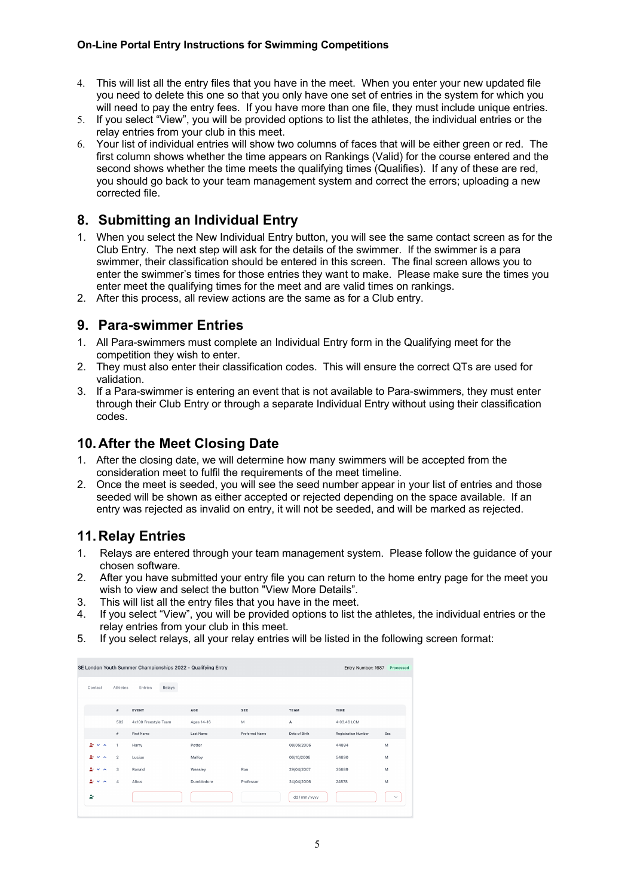#### **On-Line Portal Entry Instructions for Swimming Competitions**

- 4. This will list all the entry files that you have in the meet. When you enter your new updated file you need to delete this one so that you only have one set of entries in the system for which you will need to pay the entry fees. If you have more than one file, they must include unique entries.
- 5. If you select "View", you will be provided options to list the athletes, the individual entries or the relay entries from your club in this meet.
- 6. Your list of individual entries will show two columns of faces that will be either green or red. The first column shows whether the time appears on Rankings (Valid) for the course entered and the second shows whether the time meets the qualifying times (Qualifies). If any of these are red, you should go back to your team management system and correct the errors; uploading a new corrected file.

### **8. Submitting an Individual Entry**

- 1. When you select the New Individual Entry button, you will see the same contact screen as for the Club Entry. The next step will ask for the details of the swimmer. If the swimmer is a para swimmer, their classification should be entered in this screen. The final screen allows you to enter the swimmer's times for those entries they want to make. Please make sure the times you enter meet the qualifying times for the meet and are valid times on rankings.
- 2. After this process, all review actions are the same as for a Club entry.

### **9. Para-swimmer Entries**

- 1. All Para-swimmers must complete an Individual Entry form in the Qualifying meet for the competition they wish to enter.
- 2. They must also enter their classification codes. This will ensure the correct QTs are used for validation.
- 3. If a Para-swimmer is entering an event that is not available to Para-swimmers, they must enter through their Club Entry or through a separate Individual Entry without using their classification codes.

## **10.After the Meet Closing Date**

- 1. After the closing date, we will determine how many swimmers will be accepted from the consideration meet to fulfil the requirements of the meet timeline.
- 2. Once the meet is seeded, you will see the seed number appear in your list of entries and those seeded will be shown as either accepted or rejected depending on the space available. If an entry was rejected as invalid on entry, it will not be seeded, and will be marked as rejected.

## **11.Relay Entries**

- 1. Relays are entered through your team management system. Please follow the guidance of your chosen software.
- 2. After you have submitted your entry file you can return to the home entry page for the meet you wish to view and select the button "View More Details".
- 3. This will list all the entry files that you have in the meet.
- 4. If you select "View", you will be provided options to list the athletes, the individual entries or the relay entries from your club in this meet.
- 5. If you select relays, all your relay entries will be listed in the following screen format:

| SE London Youth Summer Championships 2022 - Qualifying Entry<br>Entry Number: 1687<br>Processed |                |                      |            |                       |                |                            |              |
|-------------------------------------------------------------------------------------------------|----------------|----------------------|------------|-----------------------|----------------|----------------------------|--------------|
| Contact                                                                                         | Athletes       | Relays<br>Entries    |            |                       |                |                            |              |
|                                                                                                 | #              | <b>EVENT</b>         | AGE        | <b>SEX</b>            | <b>TEAM</b>    | TIME                       |              |
|                                                                                                 | 502            | 4x100 Freestyle Team | Ages 14-16 | M                     | $\overline{A}$ | 4:03.46 LCM                |              |
|                                                                                                 | #              | <b>First Name</b>    | Last Name  | <b>Preferred Name</b> | Date of Birth  | <b>Registration Number</b> | Sex          |
| $2 - 4 - 4$                                                                                     | 1              | Harry                | Potter     |                       | 08/05/2006     | 44894                      | M            |
| ÷.<br>$\checkmark$<br>$\lambda$                                                                 | $\overline{2}$ | Lucius               | Malfoy     |                       | 06/10/2006     | 54890                      | M            |
| ÷.<br>$\checkmark$<br>$\sim$                                                                    | 3              | Ronald               | Weasley    | Ron                   | 29/04/2007     | 35689                      | M            |
| シャス                                                                                             | 4              | Albus                | Dumbledore | Professor             | 24/04/2006     | 24578                      | M            |
| ż.                                                                                              |                |                      |            |                       | dd / mm / yyyy |                            | $\checkmark$ |